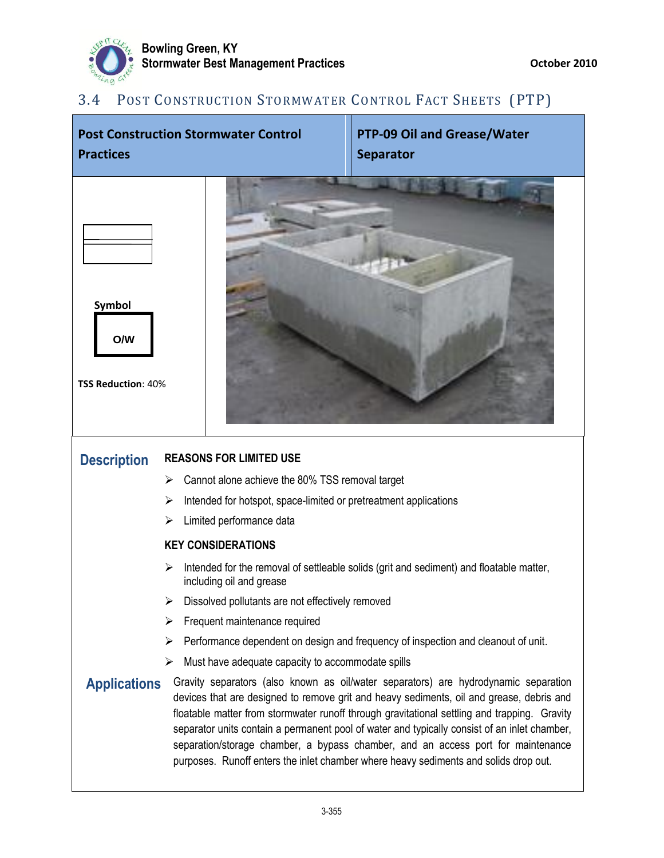

## 3.4 POST CONSTRUCTION STORMWATER CONTROL FACT SHEETS (PTP)

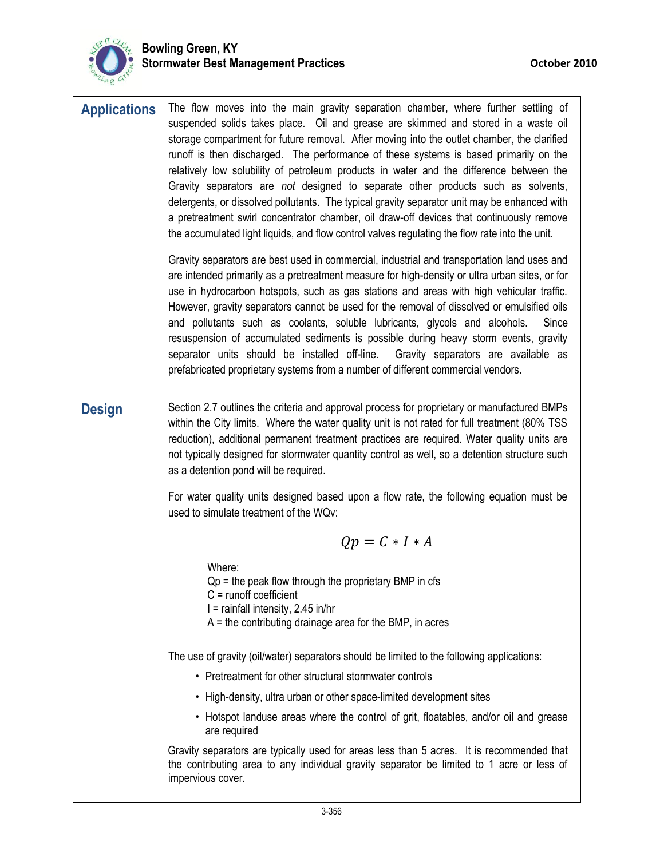

| <b>Applications</b> | The flow moves into the main gravity separation chamber, where further settling of<br>suspended solids takes place. Oil and grease are skimmed and stored in a waste oil<br>storage compartment for future removal. After moving into the outlet chamber, the clarified<br>runoff is then discharged. The performance of these systems is based primarily on the                                                                                                                                                                                                                                                                                                                                                                                 |
|---------------------|--------------------------------------------------------------------------------------------------------------------------------------------------------------------------------------------------------------------------------------------------------------------------------------------------------------------------------------------------------------------------------------------------------------------------------------------------------------------------------------------------------------------------------------------------------------------------------------------------------------------------------------------------------------------------------------------------------------------------------------------------|
|                     | relatively low solubility of petroleum products in water and the difference between the<br>Gravity separators are not designed to separate other products such as solvents,<br>detergents, or dissolved pollutants. The typical gravity separator unit may be enhanced with<br>a pretreatment swirl concentrator chamber, oil draw-off devices that continuously remove<br>the accumulated light liquids, and flow control valves regulating the flow rate into the unit.                                                                                                                                                                                                                                                                        |
|                     | Gravity separators are best used in commercial, industrial and transportation land uses and<br>are intended primarily as a pretreatment measure for high-density or ultra urban sites, or for<br>use in hydrocarbon hotspots, such as gas stations and areas with high vehicular traffic.<br>However, gravity separators cannot be used for the removal of dissolved or emulsified oils<br>and pollutants such as coolants, soluble lubricants, glycols and alcohols.<br>Since<br>resuspension of accumulated sediments is possible during heavy storm events, gravity<br>separator units should be installed off-line.  Gravity separators are available as<br>prefabricated proprietary systems from a number of different commercial vendors. |
| <b>Design</b>       | Section 2.7 outlines the criteria and approval process for proprietary or manufactured BMPs<br>within the City limits. Where the water quality unit is not rated for full treatment (80% TSS<br>reduction), additional permanent treatment practices are required. Water quality units are<br>not typically designed for stormwater quantity control as well, so a detention structure such<br>as a detention pond will be required.                                                                                                                                                                                                                                                                                                             |
|                     | For water quality units designed based upon a flow rate, the following equation must be<br>used to simulate treatment of the WQv:                                                                                                                                                                                                                                                                                                                                                                                                                                                                                                                                                                                                                |
|                     | $Qp = C \cdot I \cdot A$                                                                                                                                                                                                                                                                                                                                                                                                                                                                                                                                                                                                                                                                                                                         |
|                     |                                                                                                                                                                                                                                                                                                                                                                                                                                                                                                                                                                                                                                                                                                                                                  |

Where:  $Qp =$  the peak flow through the proprietary BMP in cfs C = runoff coefficient I = rainfall intensity, 2.45 in/hr  $A =$  the contributing drainage area for the BMP, in acres

The use of gravity (oil/water) separators should be limited to the following applications:

- Pretreatment for other structural stormwater controls
- High-density, ultra urban or other space-limited development sites
- Hotspot landuse areas where the control of grit, floatables, and/or oil and grease are required

Gravity separators are typically used for areas less than 5 acres. It is recommended that the contributing area to any individual gravity separator be limited to 1 acre or less of impervious cover.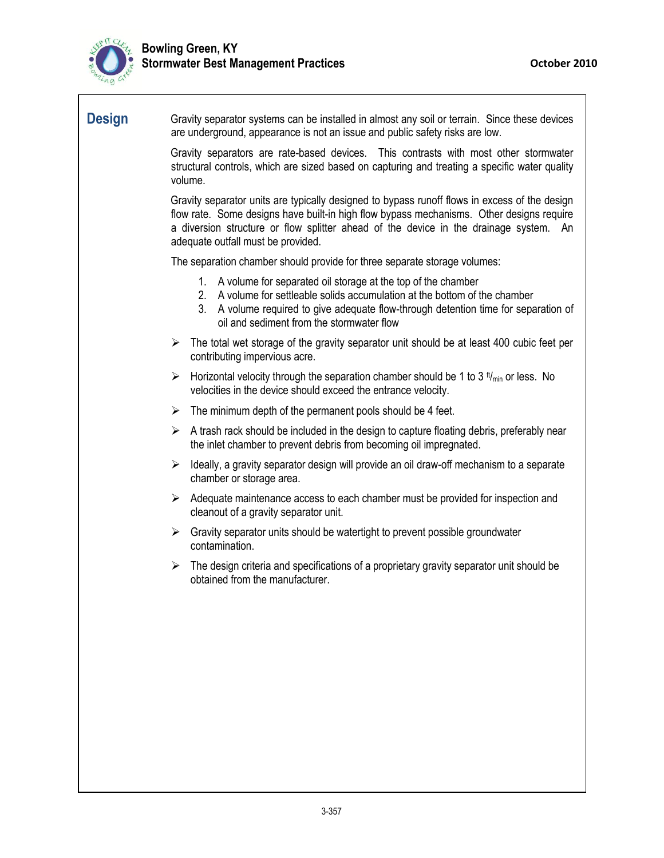

## **Design** Gravity separator systems can be installed in almost any soil or terrain. Since these devices are underground, appearance is not an issue and public safety risks are low.

Gravity separators are rate-based devices. This contrasts with most other stormwater structural controls, which are sized based on capturing and treating a specific water quality volume.

Gravity separator units are typically designed to bypass runoff flows in excess of the design flow rate. Some designs have built-in high flow bypass mechanisms. Other designs require a diversion structure or flow splitter ahead of the device in the drainage system. An adequate outfall must be provided.

The separation chamber should provide for three separate storage volumes:

- 1. A volume for separated oil storage at the top of the chamber
- 2. A volume for settleable solids accumulation at the bottom of the chamber
- 3. A volume required to give adequate flow-through detention time for separation of oil and sediment from the stormwater flow
- $\triangleright$  The total wet storage of the gravity separator unit should be at least 400 cubic feet per contributing impervious acre.
- $\triangleright$  Horizontal velocity through the separation chamber should be 1 to 3  $t_{\text{min}}$  or less. No velocities in the device should exceed the entrance velocity.
- $\triangleright$  The minimum depth of the permanent pools should be 4 feet.
- $\triangleright$  A trash rack should be included in the design to capture floating debris, preferably near the inlet chamber to prevent debris from becoming oil impregnated.
- $\triangleright$  Ideally, a gravity separator design will provide an oil draw-off mechanism to a separate chamber or storage area.
- $\triangleright$  Adequate maintenance access to each chamber must be provided for inspection and cleanout of a gravity separator unit.
- $\triangleright$  Gravity separator units should be watertight to prevent possible groundwater contamination.
- $\triangleright$  The design criteria and specifications of a proprietary gravity separator unit should be obtained from the manufacturer.